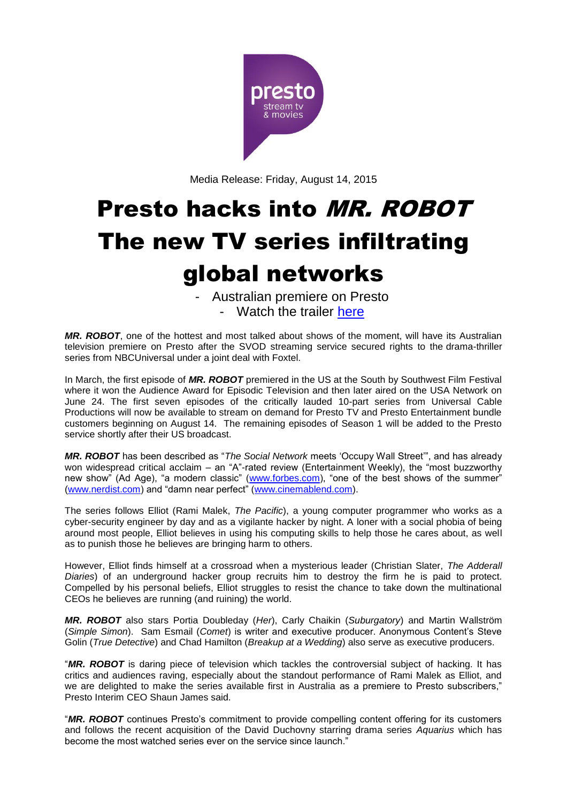

Media Release: Friday, August 14, 2015

# Presto hacks into MR. ROBOT The new TV series infiltrating global networks

- Australian premiere on Presto - Watch the trailer [here](https://youtu.be/mErBa7He_vA)

*MR. ROBOT*, one of the hottest and most talked about shows of the moment, will have its Australian television premiere on Presto after the SVOD streaming service secured rights to the drama-thriller series from NBCUniversal under a joint deal with Foxtel.

In March, the first episode of *MR. ROBOT* premiered in the US at the South by Southwest Film Festival where it won the Audience Award for Episodic Television and then later aired on the USA Network on June 24. The first seven episodes of the critically lauded 10-part series from Universal Cable Productions will now be available to stream on demand for Presto TV and Presto Entertainment bundle customers beginning on August 14. The remaining episodes of Season 1 will be added to the Presto service shortly after their US broadcast.

*MR. ROBOT* has been described as "*The Social Network* meets 'Occupy Wall Street'", and has already won widespread critical acclaim – an "A"-rated review (Entertainment Weekly), the "most buzzworthy new show" (Ad Age), "a modern classic" [\(www.forbes.com\)](http://www.forbes.com/), "one of the best shows of the summer" [\(www.nerdist.com\)](http://www.nerdist.com/) and "damn near perfect" [\(www.cinemablend.com\)](http://www.cinemablend.com/).

The series follows Elliot (Rami Malek, *The Pacific*), a young computer programmer who works as a cyber-security engineer by day and as a vigilante hacker by night. A loner with a social phobia of being around most people, Elliot believes in using his computing skills to help those he cares about, as well as to punish those he believes are bringing harm to others.

However, Elliot finds himself at a crossroad when a mysterious leader (Christian Slater, *The Adderall Diaries*) of an underground hacker group recruits him to destroy the firm he is paid to protect. Compelled by his personal beliefs, Elliot struggles to resist the chance to take down the multinational CEOs he believes are running (and ruining) the world.

*MR. ROBOT* also stars Portia Doubleday (*Her*), Carly Chaikin (*Suburgatory*) and Martin Wallström (*Simple Simon*). Sam Esmail (*Comet*) is writer and executive producer. Anonymous Content's Steve Golin (*True Detective*) and Chad Hamilton (*Breakup at a Wedding*) also serve as executive producers.

"*MR. ROBOT* is daring piece of television which tackles the controversial subject of hacking. It has critics and audiences raving, especially about the standout performance of Rami Malek as Elliot, and we are delighted to make the series available first in Australia as a premiere to Presto subscribers," Presto Interim CEO Shaun James said.

"*MR. ROBOT* continues Presto's commitment to provide compelling content offering for its customers and follows the recent acquisition of the David Duchovny starring drama series *Aquarius* which has become the most watched series ever on the service since launch."